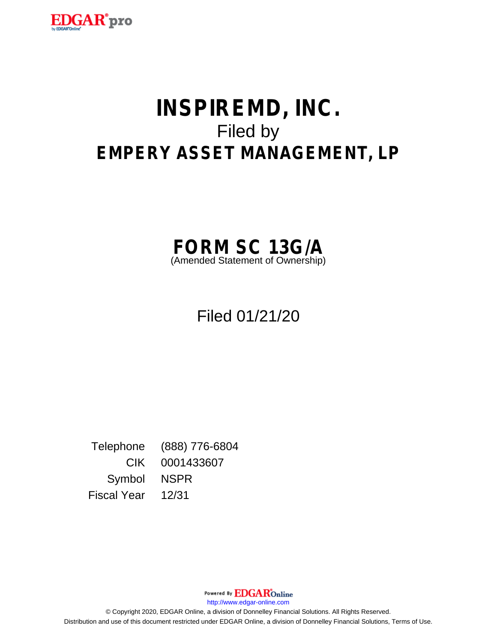

# **INSPIREMD, INC.** Filed by **EMPERY ASSET MANAGEMENT, LP**



Filed 01/21/20

Telephone (888) 776-6804 CIK 0001433607 Symbol NSPR Fiscal Year 12/31

Powered By **EDGAR**Online

http://www.edgar-online.com

© Copyright 2020, EDGAR Online, a division of Donnelley Financial Solutions. All Rights Reserved. Distribution and use of this document restricted under EDGAR Online, a division of Donnelley Financial Solutions, Terms of Use.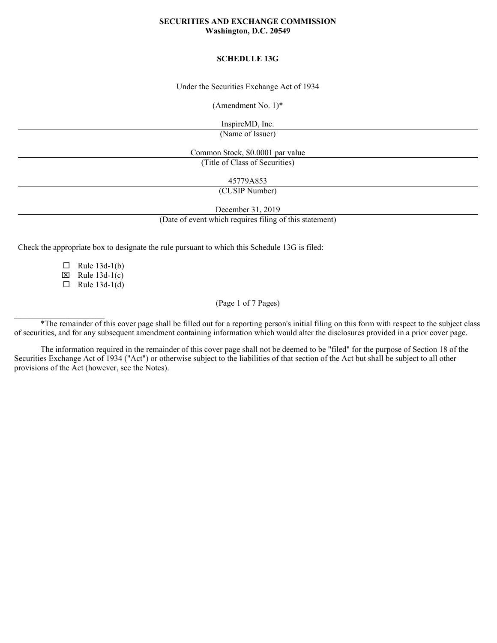#### **SECURITIES AND EXCHANGE COMMISSION Washington, D.C. 20549**

## **SCHEDULE 13G**

Under the Securities Exchange Act of 1934

(Amendment No. 1)\*

InspireMD, Inc.

(Name of Issuer)

Common Stock, \$0.0001 par value (Title of Class of Securities)

45779A853

(CUSIP Number)

December 31, 2019

(Date of event which requires filing of this statement)

Check the appropriate box to designate the rule pursuant to which this Schedule 13G is filed:

 $\Box$  Rule 13d-1(b)

 $\boxtimes$  Rule 13d-1(c)

 $\Box$  Rule 13d-1(d)

 $\mathcal{L}_\text{max}$ 

(Page 1 of 7 Pages)

\*The remainder of this cover page shall be filled out for a reporting person's initial filing on this form with respect to the subject class of securities, and for any subsequent amendment containing information which would alter the disclosures provided in a prior cover page.

The information required in the remainder of this cover page shall not be deemed to be "filed" for the purpose of Section 18 of the Securities Exchange Act of 1934 ("Act") or otherwise subject to the liabilities of that section of the Act but shall be subject to all other provisions of the Act (however, see the Notes).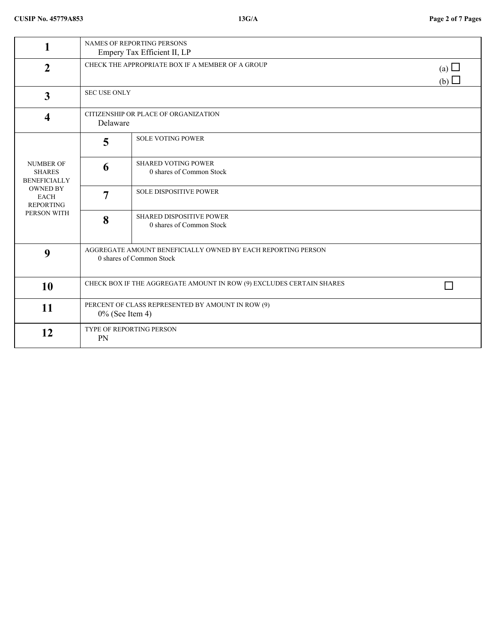|                                                   |                     | NAMES OF REPORTING PERSONS<br>Empery Tax Efficient II, LP                                |                   |  |  |
|---------------------------------------------------|---------------------|------------------------------------------------------------------------------------------|-------------------|--|--|
| $\overline{2}$                                    |                     | CHECK THE APPROPRIATE BOX IF A MEMBER OF A GROUP                                         | (a) $\Box$<br>(b) |  |  |
| 3 <sup>1</sup>                                    | <b>SEC USE ONLY</b> |                                                                                          |                   |  |  |
| $\overline{\mathbf{4}}$                           | Delaware            | CITIZENSHIP OR PLACE OF ORGANIZATION                                                     |                   |  |  |
|                                                   | 5                   | <b>SOLE VOTING POWER</b>                                                                 |                   |  |  |
| NUMBER OF<br><b>SHARES</b><br><b>BENEFICIALLY</b> | 6                   | <b>SHARED VOTING POWER</b><br>0 shares of Common Stock                                   |                   |  |  |
| OWNED BY<br>EACH<br>REPORTING                     | $\overline{7}$      | SOLE DISPOSITIVE POWER                                                                   |                   |  |  |
| PERSON WITH                                       | 8                   | SHARED DISPOSITIVE POWER<br>0 shares of Common Stock                                     |                   |  |  |
| 9                                                 |                     | AGGREGATE AMOUNT BENEFICIALLY OWNED BY EACH REPORTING PERSON<br>0 shares of Common Stock |                   |  |  |
| <b>10</b>                                         |                     | CHECK BOX IF THE AGGREGATE AMOUNT IN ROW (9) EXCLUDES CERTAIN SHARES                     | $\Box$            |  |  |
| 11                                                | $0\%$ (See Item 4)  | PERCENT OF CLASS REPRESENTED BY AMOUNT IN ROW (9)                                        |                   |  |  |
| 12                                                | PN                  | TYPE OF REPORTING PERSON                                                                 |                   |  |  |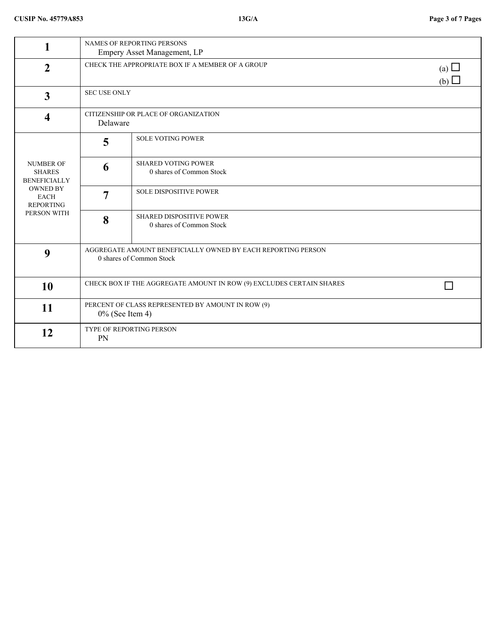|                                                   | NAMES OF REPORTING PERSONS<br>Empery Asset Management, LP                                |                   |
|---------------------------------------------------|------------------------------------------------------------------------------------------|-------------------|
| $\overline{2}$                                    | CHECK THE APPROPRIATE BOX IF A MEMBER OF A GROUP                                         | (a) $\Box$<br>(b) |
| $\mathbf{3}$                                      | <b>SEC USE ONLY</b>                                                                      |                   |
| $\overline{\mathbf{4}}$                           | CITIZENSHIP OR PLACE OF ORGANIZATION<br>Delaware                                         |                   |
|                                                   | <b>SOLE VOTING POWER</b><br>$\overline{5}$                                               |                   |
| NUMBER OF<br><b>SHARES</b><br><b>BENEFICIALLY</b> | <b>SHARED VOTING POWER</b><br>6<br>0 shares of Common Stock                              |                   |
| OWNED BY<br>EACH<br>REPORTING                     | SOLE DISPOSITIVE POWER<br>$\overline{ }$                                                 |                   |
| PERSON WITH                                       | SHARED DISPOSITIVE POWER<br>8<br>0 shares of Common Stock                                |                   |
| 9                                                 | AGGREGATE AMOUNT BENEFICIALLY OWNED BY EACH REPORTING PERSON<br>0 shares of Common Stock |                   |
| <b>10</b>                                         | CHECK BOX IF THE AGGREGATE AMOUNT IN ROW (9) EXCLUDES CERTAIN SHARES                     | $\Box$            |
| <b>11</b>                                         | PERCENT OF CLASS REPRESENTED BY AMOUNT IN ROW (9)<br>$0\%$ (See Item 4)                  |                   |
| 12                                                | TYPE OF REPORTING PERSON<br>PN                                                           |                   |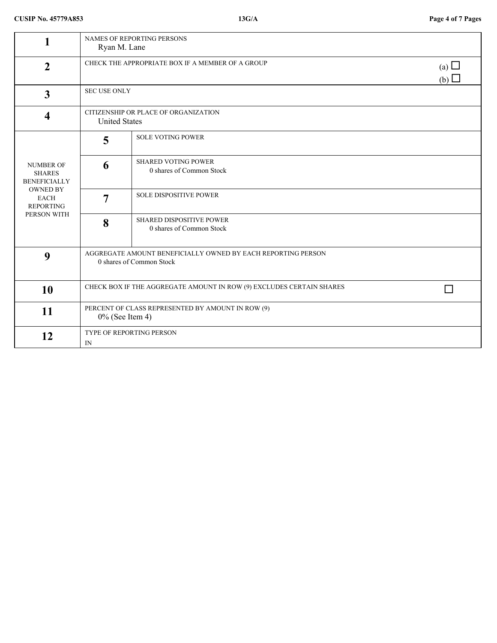|                                                   | NAMES OF REPORTING PERSONS<br>Ryan M. Lane                                               |                   |
|---------------------------------------------------|------------------------------------------------------------------------------------------|-------------------|
| $\overline{2}$                                    | CHECK THE APPROPRIATE BOX IF A MEMBER OF A GROUP                                         | (a) $\Box$<br>(b) |
| $\mathbf{3}$                                      | SEC USE ONLY                                                                             |                   |
| $\overline{\mathbf{4}}$                           | CITIZENSHIP OR PLACE OF ORGANIZATION<br><b>United States</b>                             |                   |
|                                                   | <b>SOLE VOTING POWER</b><br>$\overline{5}$                                               |                   |
| NUMBER OF<br><b>SHARES</b><br><b>BENEFICIALLY</b> | <b>SHARED VOTING POWER</b><br>6<br>0 shares of Common Stock                              |                   |
| OWNED BY<br>EACH<br>REPORTING                     | SOLE DISPOSITIVE POWER                                                                   |                   |
| PERSON WITH                                       | SHARED DISPOSITIVE POWER<br>8<br>0 shares of Common Stock                                |                   |
| 9                                                 | AGGREGATE AMOUNT BENEFICIALLY OWNED BY EACH REPORTING PERSON<br>0 shares of Common Stock |                   |
| <b>10</b>                                         | CHECK BOX IF THE AGGREGATE AMOUNT IN ROW (9) EXCLUDES CERTAIN SHARES                     | $\Box$            |
| 11                                                | PERCENT OF CLASS REPRESENTED BY AMOUNT IN ROW (9)<br>$0\%$ (See Item 4)                  |                   |
| 12                                                | TYPE OF REPORTING PERSON<br>$\mathbb{N}$                                                 |                   |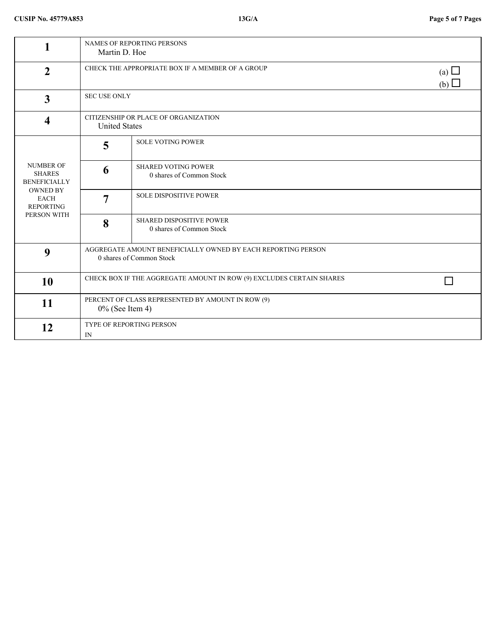|                                                   | Martin D. Hoe        | NAMES OF REPORTING PERSONS                                                               |                   |  |  |  |
|---------------------------------------------------|----------------------|------------------------------------------------------------------------------------------|-------------------|--|--|--|
| $\overline{2}$                                    |                      | CHECK THE APPROPRIATE BOX IF A MEMBER OF A GROUP                                         | (a) $\Box$<br>(b) |  |  |  |
| $\mathbf{3}$                                      | SEC USE ONLY         |                                                                                          |                   |  |  |  |
| $\overline{\mathbf{4}}$                           | <b>United States</b> | CITIZENSHIP OR PLACE OF ORGANIZATION                                                     |                   |  |  |  |
|                                                   | $\overline{5}$       | <b>SOLE VOTING POWER</b>                                                                 |                   |  |  |  |
| NUMBER OF<br><b>SHARES</b><br><b>BENEFICIALLY</b> | 6                    | <b>SHARED VOTING POWER</b><br>0 shares of Common Stock                                   |                   |  |  |  |
| OWNED BY<br>EACH<br>REPORTING                     | $\overline{ }$       | SOLE DISPOSITIVE POWER                                                                   |                   |  |  |  |
| PERSON WITH                                       | 8                    | SHARED DISPOSITIVE POWER<br>0 shares of Common Stock                                     |                   |  |  |  |
| 9                                                 |                      | AGGREGATE AMOUNT BENEFICIALLY OWNED BY EACH REPORTING PERSON<br>0 shares of Common Stock |                   |  |  |  |
| <b>10</b>                                         |                      | CHECK BOX IF THE AGGREGATE AMOUNT IN ROW (9) EXCLUDES CERTAIN SHARES                     | $\Box$            |  |  |  |
| <b>11</b>                                         | $0\%$ (See Item 4)   | PERCENT OF CLASS REPRESENTED BY AMOUNT IN ROW (9)                                        |                   |  |  |  |
| 12                                                | $\mathbb{N}$         | TYPE OF REPORTING PERSON                                                                 |                   |  |  |  |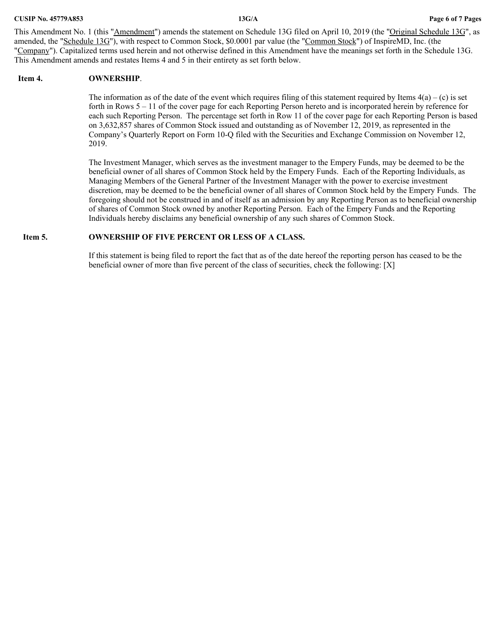This Amendment No. 1 (this "Amendment") amends the statement on Schedule 13G filed on April 10, 2019 (the "Original Schedule 13G", as amended, the "Schedule 13G"), with respect to Common Stock, \$0.0001 par value (the "Common Stock") of InspireMD, Inc. (the "Company"). Capitalized terms used herein and not otherwise defined in this Amendment have the meanings set forth in the Schedule 13G. This Amendment amends and restates Items 4 and 5 in their entirety as set forth below.

### **Item 4. OWNERSHIP**.

The information as of the date of the event which requires filing of this statement required by Items  $4(a) - (c)$  is set forth in Rows 5 – 11 of the cover page for each Reporting Person hereto and is incorporated herein by reference for each such Reporting Person. The percentage set forth in Row 11 of the cover page for each Reporting Person is based on 3,632,857 shares of Common Stock issued and outstanding as of November 12, 2019, as represented in the Company's Quarterly Report on Form 10-Q filed with the Securities and Exchange Commission on November 12, 2019.

The Investment Manager, which serves as the investment manager to the Empery Funds, may be deemed to be the beneficial owner of all shares of Common Stock held by the Empery Funds. Each of the Reporting Individuals, as Managing Members of the General Partner of the Investment Manager with the power to exercise investment discretion, may be deemed to be the beneficial owner of all shares of Common Stock held by the Empery Funds. The foregoing should not be construed in and of itself as an admission by any Reporting Person as to beneficial ownership of shares of Common Stock owned by another Reporting Person. Each of the Empery Funds and the Reporting Individuals hereby disclaims any beneficial ownership of any such shares of Common Stock.

## **Item 5. OWNERSHIP OF FIVE PERCENT OR LESS OF A CLASS.**

If this statement is being filed to report the fact that as of the date hereof the reporting person has ceased to be the beneficial owner of more than five percent of the class of securities, check the following: [X]